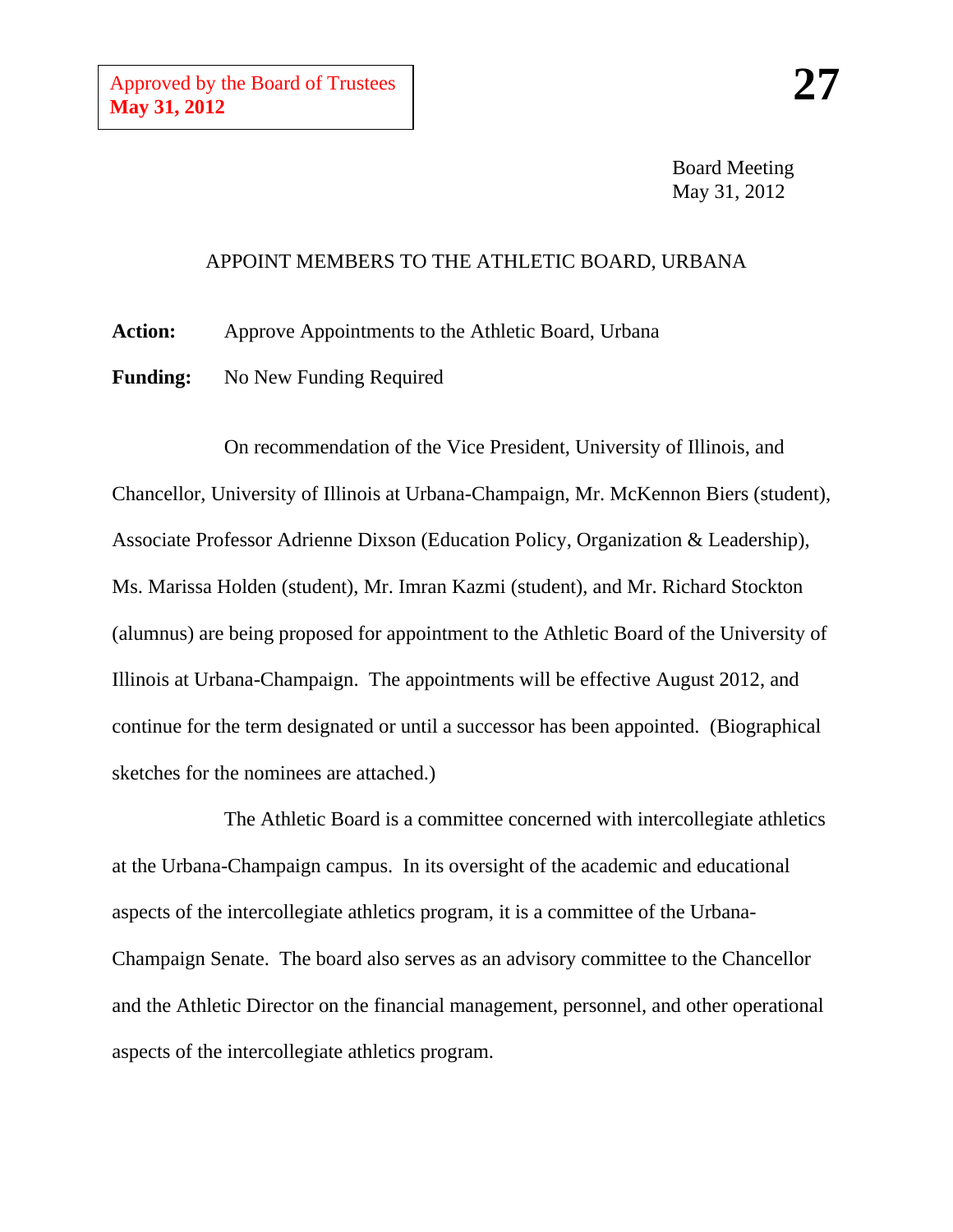Board Meeting May 31, 2012

## APPOINT MEMBERS TO THE ATHLETIC BOARD, URBANA

**Action:** Approve Appointments to the Athletic Board, Urbana

Funding: No New Funding Required

On recommendation of the Vice President, University of Illinois, and Chancellor, University of Illinois at Urbana-Champaign, Mr. McKennon Biers (student), Associate Professor Adrienne Dixson (Education Policy, Organization & Leadership), Ms. Marissa Holden (student), Mr. Imran Kazmi (student), and Mr. Richard Stockton (alumnus) are being proposed for appointment to the Athletic Board of the University of Illinois at Urbana-Champaign. The appointments will be effective August 2012, and continue for the term designated or until a successor has been appointed. (Biographical sketches for the nominees are attached.)

The Athletic Board is a committee concerned with intercollegiate athletics at the Urbana-Champaign campus. In its oversight of the academic and educational aspects of the intercollegiate athletics program, it is a committee of the Urbana-Champaign Senate. The board also serves as an advisory committee to the Chancellor and the Athletic Director on the financial management, personnel, and other operational aspects of the intercollegiate athletics program.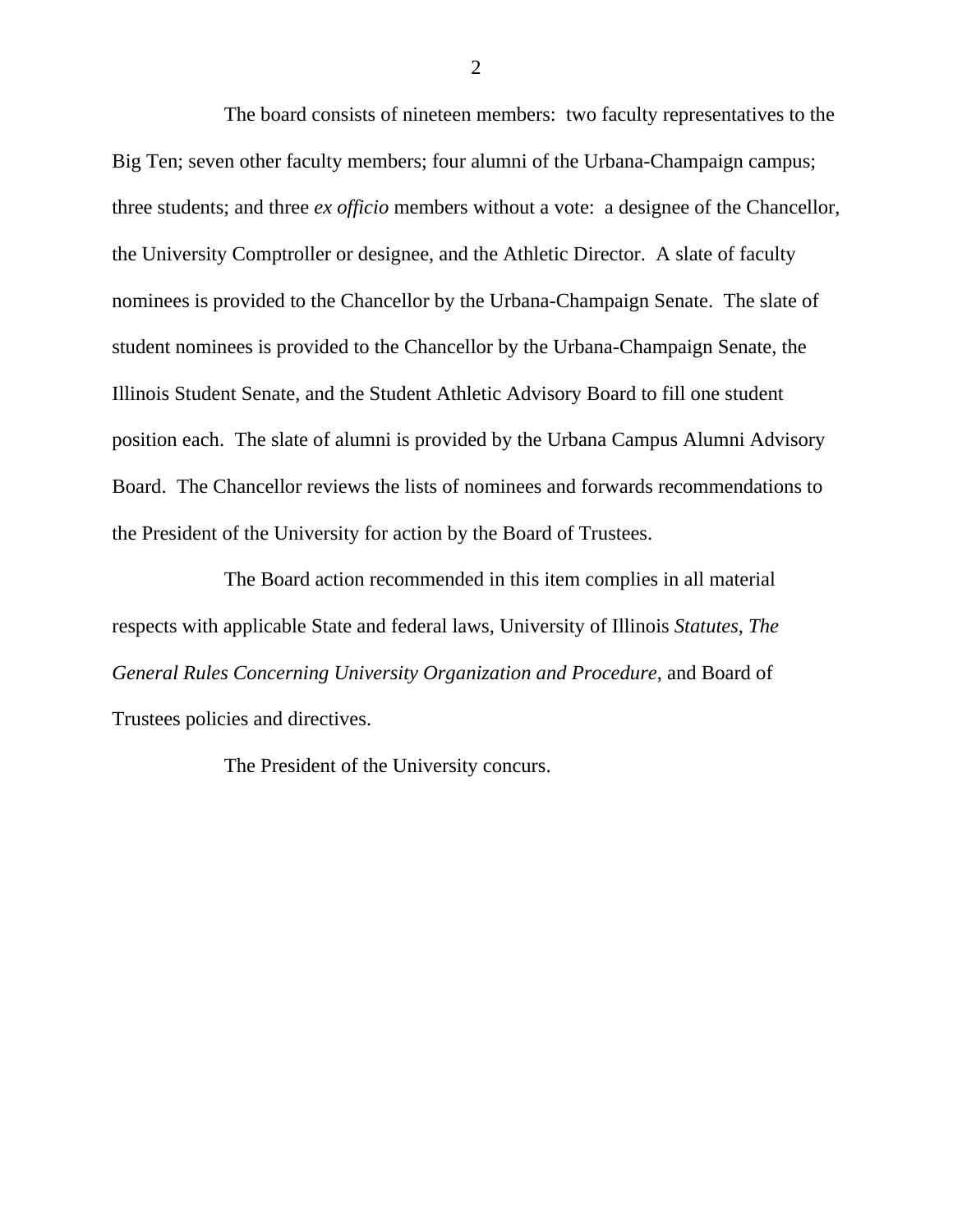The board consists of nineteen members: two faculty representatives to the Big Ten; seven other faculty members; four alumni of the Urbana-Champaign campus; three students; and three *ex officio* members without a vote: a designee of the Chancellor, the University Comptroller or designee, and the Athletic Director. A slate of faculty nominees is provided to the Chancellor by the Urbana-Champaign Senate. The slate of student nominees is provided to the Chancellor by the Urbana-Champaign Senate, the Illinois Student Senate, and the Student Athletic Advisory Board to fill one student position each. The slate of alumni is provided by the Urbana Campus Alumni Advisory Board. The Chancellor reviews the lists of nominees and forwards recommendations to the President of the University for action by the Board of Trustees.

The Board action recommended in this item complies in all material respects with applicable State and federal laws, University of Illinois *Statutes*, *The General Rules Concerning University Organization and Procedure*, and Board of Trustees policies and directives.

The President of the University concurs.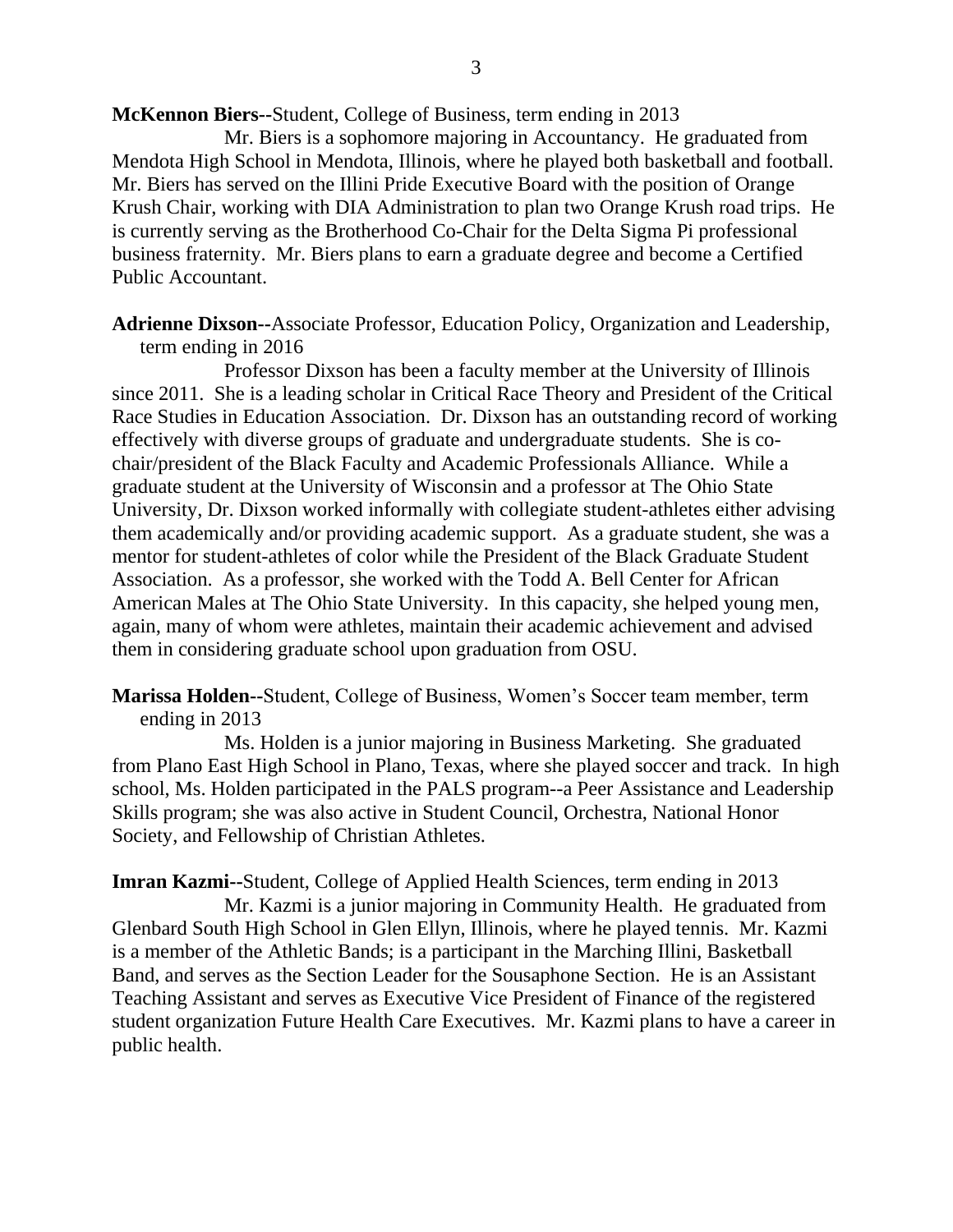**McKennon Biers--**Student, College of Business, term ending in 2013

Mr. Biers is a sophomore majoring in Accountancy. He graduated from Mendota High School in Mendota, Illinois, where he played both basketball and football. Mr. Biers has served on the Illini Pride Executive Board with the position of Orange Krush Chair, working with DIA Administration to plan two Orange Krush road trips. He is currently serving as the Brotherhood Co-Chair for the Delta Sigma Pi professional business fraternity. Mr. Biers plans to earn a graduate degree and become a Certified Public Accountant.

**Adrienne Dixson--**Associate Professor, Education Policy, Organization and Leadership, term ending in 2016

Professor Dixson has been a faculty member at the University of Illinois since 2011. She is a leading scholar in Critical Race Theory and President of the Critical Race Studies in Education Association. Dr. Dixson has an outstanding record of working effectively with diverse groups of graduate and undergraduate students. She is cochair/president of the Black Faculty and Academic Professionals Alliance. While a graduate student at the University of Wisconsin and a professor at The Ohio State University, Dr. Dixson worked informally with collegiate student-athletes either advising them academically and/or providing academic support. As a graduate student, she was a mentor for student-athletes of color while the President of the Black Graduate Student Association. As a professor, she worked with the Todd A. Bell Center for African American Males at The Ohio State University. In this capacity, she helped young men, again, many of whom were athletes, maintain their academic achievement and advised them in considering graduate school upon graduation from OSU.

**Marissa Holden--**Student, College of Business, Women's Soccer team member, term ending in 2013

Ms. Holden is a junior majoring in Business Marketing. She graduated from Plano East High School in Plano, Texas, where she played soccer and track. In high school, Ms. Holden participated in the PALS program--a Peer Assistance and Leadership Skills program; she was also active in Student Council, Orchestra, National Honor Society, and Fellowship of Christian Athletes.

**Imran Kazmi--**Student, College of Applied Health Sciences, term ending in 2013 Mr. Kazmi is a junior majoring in Community Health. He graduated from Glenbard South High School in Glen Ellyn, Illinois, where he played tennis. Mr. Kazmi is a member of the Athletic Bands; is a participant in the Marching Illini, Basketball Band, and serves as the Section Leader for the Sousaphone Section. He is an Assistant Teaching Assistant and serves as Executive Vice President of Finance of the registered student organization Future Health Care Executives. Mr. Kazmi plans to have a career in public health.